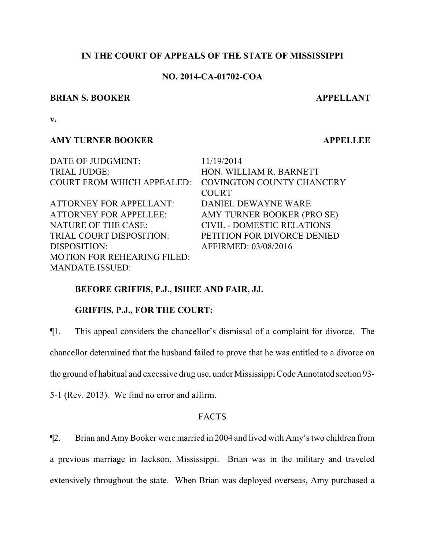#### **IN THE COURT OF APPEALS OF THE STATE OF MISSISSIPPI**

#### **NO. 2014-CA-01702-COA**

#### **BRIAN S. BOOKER APPELLANT**

**v.**

## **AMY TURNER BOOKER APPELLEE**

DATE OF JUDGMENT: 11/19/2014 TRIAL JUDGE: HON. WILLIAM R. BARNETT COURT FROM WHICH APPEALED: COVINGTON COUNTY CHANCERY ATTORNEY FOR APPELLANT: DANIEL DEWAYNE WARE ATTORNEY FOR APPELLEE: AMY TURNER BOOKER (PRO SE) NATURE OF THE CASE: CIVIL - DOMESTIC RELATIONS TRIAL COURT DISPOSITION: PETITION FOR DIVORCE DENIED DISPOSITION: AFFIRMED: 03/08/2016 MOTION FOR REHEARING FILED: MANDATE ISSUED:

COURT

#### **BEFORE GRIFFIS, P.J., ISHEE AND FAIR, JJ.**

### **GRIFFIS, P.J., FOR THE COURT:**

¶1. This appeal considers the chancellor's dismissal of a complaint for divorce. The

chancellor determined that the husband failed to prove that he was entitled to a divorce on

the ground of habitual and excessive drug use, under Mississippi Code Annotated section 93-

5-1 (Rev. 2013). We find no error and affirm.

# **FACTS**

¶2. Brian and AmyBooker were married in 2004 and lived with Amy's two children from

a previous marriage in Jackson, Mississippi. Brian was in the military and traveled extensively throughout the state. When Brian was deployed overseas, Amy purchased a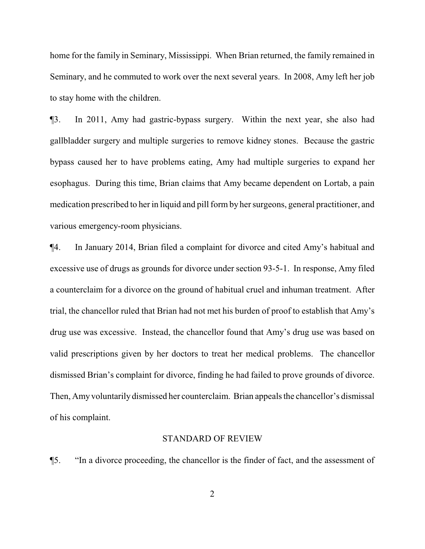home for the family in Seminary, Mississippi. When Brian returned, the family remained in Seminary, and he commuted to work over the next several years. In 2008, Amy left her job to stay home with the children.

¶3. In 2011, Amy had gastric-bypass surgery. Within the next year, she also had gallbladder surgery and multiple surgeries to remove kidney stones. Because the gastric bypass caused her to have problems eating, Amy had multiple surgeries to expand her esophagus. During this time, Brian claims that Amy became dependent on Lortab, a pain medication prescribed to her in liquid and pill formby her surgeons, general practitioner, and various emergency-room physicians.

¶4. In January 2014, Brian filed a complaint for divorce and cited Amy's habitual and excessive use of drugs as grounds for divorce under section 93-5-1. In response, Amy filed a counterclaim for a divorce on the ground of habitual cruel and inhuman treatment. After trial, the chancellor ruled that Brian had not met his burden of proof to establish that Amy's drug use was excessive. Instead, the chancellor found that Amy's drug use was based on valid prescriptions given by her doctors to treat her medical problems. The chancellor dismissed Brian's complaint for divorce, finding he had failed to prove grounds of divorce. Then, Amy voluntarily dismissed her counterclaim. Brian appeals the chancellor's dismissal of his complaint.

#### STANDARD OF REVIEW

¶5. "In a divorce proceeding, the chancellor is the finder of fact, and the assessment of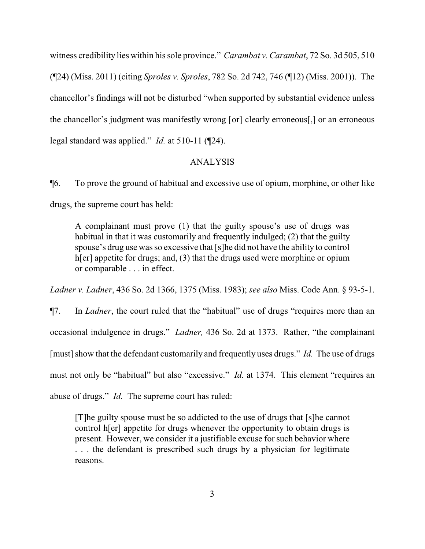witness credibility lies within his sole province." *Carambat v. Carambat*, 72 So. 3d 505, 510 (¶24) (Miss. 2011) (citing *Sproles v. Sproles*, 782 So. 2d 742, 746 (¶12) (Miss. 2001)). The chancellor's findings will not be disturbed "when supported by substantial evidence unless the chancellor's judgment was manifestly wrong [or] clearly erroneous[,] or an erroneous legal standard was applied." *Id.* at 510-11 (¶24).

#### ANALYSIS

¶6. To prove the ground of habitual and excessive use of opium, morphine, or other like drugs, the supreme court has held:

A complainant must prove (1) that the guilty spouse's use of drugs was habitual in that it was customarily and frequently indulged; (2) that the guilty spouse's drug use was so excessive that [s]he did not have the ability to control h[er] appetite for drugs; and, (3) that the drugs used were morphine or opium or comparable . . . in effect.

*Ladner v. Ladner*, 436 So. 2d 1366, 1375 (Miss. 1983); *see also* Miss. Code Ann. § 93-5-1.

¶7. In *Ladner*, the court ruled that the "habitual" use of drugs "requires more than an occasional indulgence in drugs." *Ladner,* 436 So. 2d at 1373. Rather, "the complainant [must] show that the defendant customarily and frequently uses drugs." *Id.* The use of drugs must not only be "habitual" but also "excessive." *Id.* at 1374. This element "requires an abuse of drugs." *Id.* The supreme court has ruled:

[T]he guilty spouse must be so addicted to the use of drugs that [s]he cannot control h[er] appetite for drugs whenever the opportunity to obtain drugs is present. However, we consider it a justifiable excuse for such behavior where . . . the defendant is prescribed such drugs by a physician for legitimate reasons.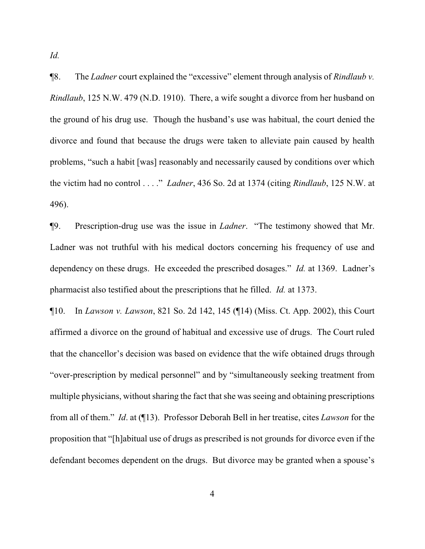*Id.* 

¶8. The *Ladner* court explained the "excessive" element through analysis of *Rindlaub v. Rindlaub*, 125 N.W. 479 (N.D. 1910). There, a wife sought a divorce from her husband on the ground of his drug use. Though the husband's use was habitual, the court denied the divorce and found that because the drugs were taken to alleviate pain caused by health problems, "such a habit [was] reasonably and necessarily caused by conditions over which the victim had no control . . . ." *Ladner*, 436 So. 2d at 1374 (citing *Rindlaub*, 125 N.W. at 496).

¶9. Prescription-drug use was the issue in *Ladner*. "The testimony showed that Mr. Ladner was not truthful with his medical doctors concerning his frequency of use and dependency on these drugs. He exceeded the prescribed dosages." *Id.* at 1369. Ladner's pharmacist also testified about the prescriptions that he filled. *Id.* at 1373.

¶10. In *Lawson v. Lawson*, 821 So. 2d 142, 145 (¶14) (Miss. Ct. App. 2002), this Court affirmed a divorce on the ground of habitual and excessive use of drugs. The Court ruled that the chancellor's decision was based on evidence that the wife obtained drugs through "over-prescription by medical personnel" and by "simultaneously seeking treatment from multiple physicians, without sharing the fact that she was seeing and obtaining prescriptions from all of them." *Id*. at (¶13). Professor Deborah Bell in her treatise, cites *Lawson* for the proposition that "[h]abitual use of drugs as prescribed is not grounds for divorce even if the defendant becomes dependent on the drugs. But divorce may be granted when a spouse's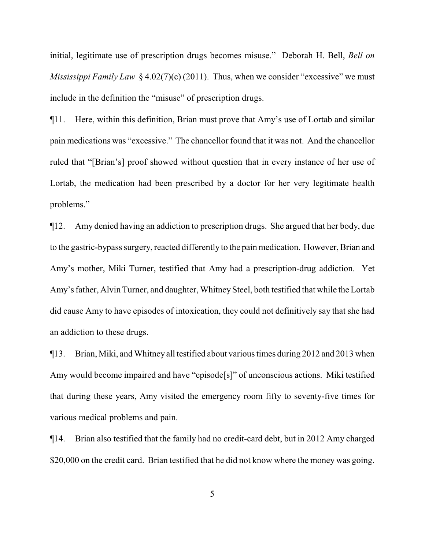initial, legitimate use of prescription drugs becomes misuse." Deborah H. Bell, *Bell on Mississippi Family Law* § 4.02(7)(c) (2011). Thus, when we consider "excessive" we must include in the definition the "misuse" of prescription drugs.

¶11. Here, within this definition, Brian must prove that Amy's use of Lortab and similar pain medications was "excessive." The chancellor found that it was not. And the chancellor ruled that "[Brian's] proof showed without question that in every instance of her use of Lortab, the medication had been prescribed by a doctor for her very legitimate health problems."

¶12. Amy denied having an addiction to prescription drugs. She argued that her body, due to the gastric-bypass surgery, reacted differently to the pain medication. However, Brian and Amy's mother, Miki Turner, testified that Amy had a prescription-drug addiction. Yet Amy's father, Alvin Turner, and daughter, Whitney Steel, both testified that while the Lortab did cause Amy to have episodes of intoxication, they could not definitively say that she had an addiction to these drugs.

¶13. Brian, Miki, and Whitney all testified about various times during 2012 and 2013 when Amy would become impaired and have "episode[s]" of unconscious actions. Miki testified that during these years, Amy visited the emergency room fifty to seventy-five times for various medical problems and pain.

¶14. Brian also testified that the family had no credit-card debt, but in 2012 Amy charged \$20,000 on the credit card. Brian testified that he did not know where the money was going.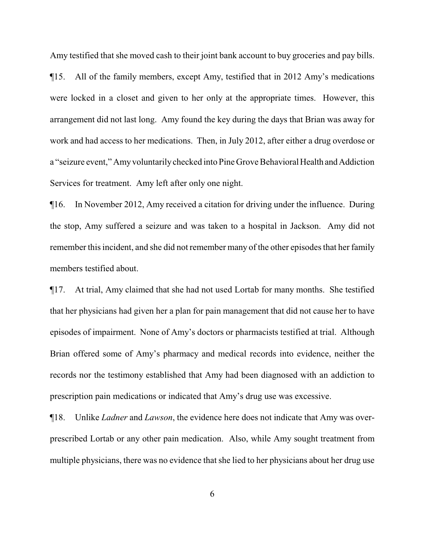Amy testified that she moved cash to their joint bank account to buy groceries and pay bills. ¶15. All of the family members, except Amy, testified that in 2012 Amy's medications were locked in a closet and given to her only at the appropriate times. However, this arrangement did not last long. Amy found the key during the days that Brian was away for work and had access to her medications. Then, in July 2012, after either a drug overdose or a "seizure event," Amy voluntarily checked into Pine Grove Behavioral Health and Addiction Services for treatment. Amy left after only one night.

¶16. In November 2012, Amy received a citation for driving under the influence. During the stop, Amy suffered a seizure and was taken to a hospital in Jackson. Amy did not remember this incident, and she did not remember many of the other episodes that her family members testified about.

¶17. At trial, Amy claimed that she had not used Lortab for many months. She testified that her physicians had given her a plan for pain management that did not cause her to have episodes of impairment. None of Amy's doctors or pharmacists testified at trial. Although Brian offered some of Amy's pharmacy and medical records into evidence, neither the records nor the testimony established that Amy had been diagnosed with an addiction to prescription pain medications or indicated that Amy's drug use was excessive.

¶18. Unlike *Ladner* and *Lawson*, the evidence here does not indicate that Amy was overprescribed Lortab or any other pain medication. Also, while Amy sought treatment from multiple physicians, there was no evidence that she lied to her physicians about her drug use